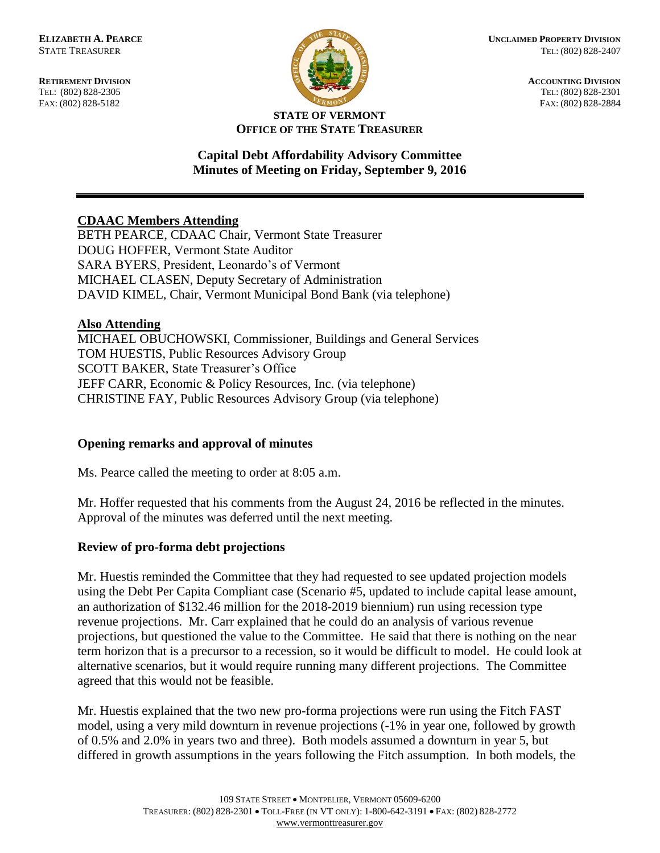FAX: (802) 828-5182



**RETIREMENT DIVISION**<br> **RETIREMENT DIVISION**<br> **ACCOUNTING DIVISION**<br> **RETIREMENT DIVISION**<br> **RETIREMENT DIVISION** TEL: (802) 828-2301<br>FAX: (802) 828-2884

#### **STATE OF VERMONT OFFICE OF THE STATE TREASURER**

## **Capital Debt Affordability Advisory Committee Minutes of Meeting on Friday, September 9, 2016**

# **CDAAC Members Attending**

BETH PEARCE, CDAAC Chair, Vermont State Treasurer DOUG HOFFER, Vermont State Auditor SARA BYERS, President, Leonardo's of Vermont MICHAEL CLASEN, Deputy Secretary of Administration DAVID KIMEL, Chair, Vermont Municipal Bond Bank (via telephone)

### **Also Attending**

MICHAEL OBUCHOWSKI, Commissioner, Buildings and General Services TOM HUESTIS, Public Resources Advisory Group SCOTT BAKER, State Treasurer's Office JEFF CARR, Economic & Policy Resources, Inc. (via telephone) CHRISTINE FAY, Public Resources Advisory Group (via telephone)

### **Opening remarks and approval of minutes**

Ms. Pearce called the meeting to order at 8:05 a.m.

Mr. Hoffer requested that his comments from the August 24, 2016 be reflected in the minutes. Approval of the minutes was deferred until the next meeting.

### **Review of pro-forma debt projections**

Mr. Huestis reminded the Committee that they had requested to see updated projection models using the Debt Per Capita Compliant case (Scenario #5, updated to include capital lease amount, an authorization of \$132.46 million for the 2018-2019 biennium) run using recession type revenue projections. Mr. Carr explained that he could do an analysis of various revenue projections, but questioned the value to the Committee. He said that there is nothing on the near term horizon that is a precursor to a recession, so it would be difficult to model. He could look at alternative scenarios, but it would require running many different projections. The Committee agreed that this would not be feasible.

Mr. Huestis explained that the two new pro-forma projections were run using the Fitch FAST model, using a very mild downturn in revenue projections (-1% in year one, followed by growth of 0.5% and 2.0% in years two and three). Both models assumed a downturn in year 5, but differed in growth assumptions in the years following the Fitch assumption. In both models, the